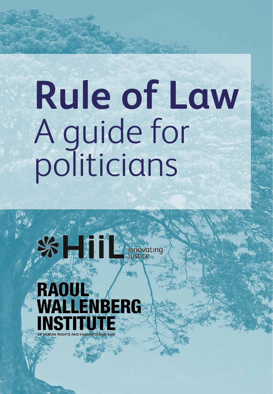# **Rule of Law** A guide for politicians



 $\frac{1}{2}$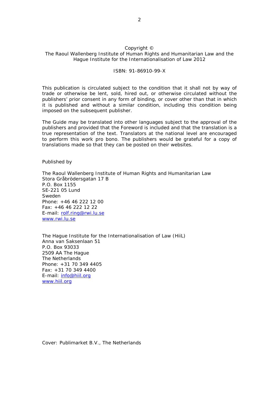#### Copyright ©

#### The Raoul Wallenberg Institute of Human Rights and Humanitarian Law and the Hague Institute for the Internationalisation of Law 2012

#### ISBN: 91-86910-99-X

This publication is circulated subject to the condition that it shall not by way of trade or otherwise be lent, sold, hired out, or otherwise circulated without the publishers' prior consent in any form of binding, or cover other than that in which it is published and without a similar condition, including this condition being imposed on the subsequent publisher.

The Guide may be translated into other languages subject to the approval of the publishers and provided that the Foreword is included and that the translation is a true representation of the text. Translators at the national level are encouraged to perform this work *pro bono*. The publishers would be grateful for a copy of translations made so that they can be posted on their websites.

Published by

The Raoul Wallenberg Institute of Human Rights and Humanitarian Law Stora Gråbrödersgatan 17 B P.O. Box 1155 SE-221 05 Lund Sweden Phone: +46 46 222 12 00 Fax: +46 46 222 12 22 E-mail: [rolf.ring@rwi.lu.se](mailto:rolf.ring@rwi.lu.se) [www.rwi.lu.se](http://www.rwi.lu.se/)

The Hague Institute for the Internationalisation of Law (HiiL) Anna van Saksenlaan 51 P.O. Box 93033 2509 AA The Hague The Netherlands Phone: +31 70 349 4405 Fax: +31 70 349 4400 E-mail: [info@hiil.org](mailto:info@hiil.org) [www.hiil.org](http://www.hiil.org/)

Cover: Publimarket B.V., The Netherlands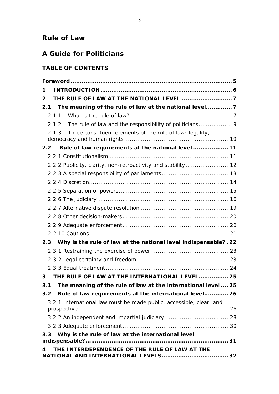# **Rule of Law**

# **A Guide for Politicians**

# **TABLE OF CONTENTS**

| 1                                                                    |  |  |
|----------------------------------------------------------------------|--|--|
| $\mathbf{2} \cdot$                                                   |  |  |
| The meaning of the rule of law at the national level 7<br>2.1        |  |  |
| 2.1.1                                                                |  |  |
| 2.1.2 The rule of law and the responsibility of politicians 9        |  |  |
| Three constituent elements of the rule of law: legality,<br>2.1.3    |  |  |
| 2.2 Rule of law requirements at the national level  11               |  |  |
|                                                                      |  |  |
| 2.2.2 Publicity, clarity, non-retroactivity and stability 12         |  |  |
|                                                                      |  |  |
|                                                                      |  |  |
|                                                                      |  |  |
|                                                                      |  |  |
|                                                                      |  |  |
|                                                                      |  |  |
|                                                                      |  |  |
|                                                                      |  |  |
| 2.3 Why is the rule of law at the national level indispensable?. 22  |  |  |
|                                                                      |  |  |
|                                                                      |  |  |
|                                                                      |  |  |
| THE RULE OF LAW AT THE INTERNATIONAL LEVEL 25<br>3                   |  |  |
| The meaning of the rule of law at the international level  25<br>3.1 |  |  |
| 3.2 Rule of law requirements at the international level 26           |  |  |
| 3.2.1 International law must be made public, accessible, clear, and  |  |  |
|                                                                      |  |  |
|                                                                      |  |  |
| Why is the rule of law at the international level<br>3.3             |  |  |
|                                                                      |  |  |
| THE INTERDEPENDENCE OF THE RULE OF LAW AT THE<br>4                   |  |  |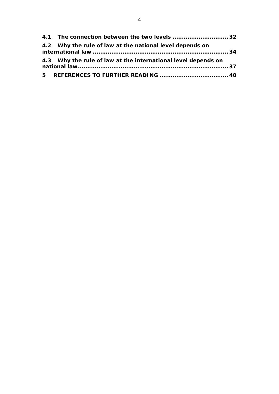| 4.1 The connection between the two levels  32                 |  |
|---------------------------------------------------------------|--|
| 4.2 Why the rule of law at the national level depends on      |  |
| 4.3 Why the rule of law at the international level depends on |  |
|                                                               |  |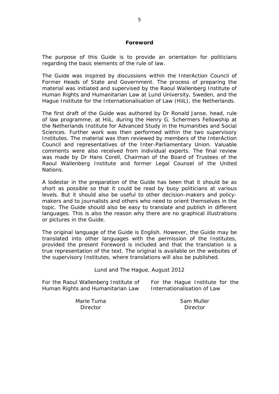#### **Foreword**

<span id="page-4-0"></span>The purpose of this Guide is to provide an orientation for politicians regarding the basic elements of the rule of law.

The Guide was inspired by discussions within the InterAction Council of Former Heads of State and Government. The process of preparing the material was initiated and supervised by the Raoul Wallenberg Institute of Human Rights and Humanitarian Law at Lund University, Sweden, and the Hague Institute for the Internationalisation of Law (HiiL), the Netherlands.

The first draft of the Guide was authored by Dr Ronald Janse, head, rule of law programme, at HiiL, during the Henry G. Schermers Fellowship at the Netherlands Institute for Advanced Study in the Humanities and Social Sciences. Further work was then performed within the two supervisory Institutes. The material was then reviewed by members of the InterAction Council and representatives of the Inter-Parliamentary Union. Valuable comments were also received from individual experts. The final review was made by Dr Hans Corell, Chairman of the Board of Trustees of the Raoul Wallenberg Institute and former Legal Counsel of the United Nations.

A lodestar in the preparation of the Guide has been that it should be as short as possible so that it could be read by busy politicians at various levels. But it should also be useful to other decision-makers and policymakers and to journalists and others who need to orient themselves in the topic. The Guide should also be easy to translate and publish in different languages. This is also the reason why there are no graphical illustrations or pictures in the Guide.

The original language of the Guide is English. However, the Guide may be translated into other languages with the permission of the Institutes, provided the present Foreword is included and that the translation is a true representation of the text. The original is available on the websites of the supervisory Institutes, where translations will also be published.

Lund and The Hague, August 2012

For the Raoul Wallenberg Institute of Human Rights and Humanitarian Law

For the Hague Institute for the Internationalisation of Law

Marie Tuma **Director** 

Sam Muller **Director**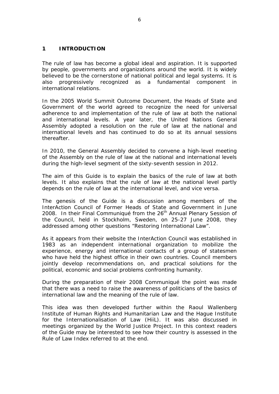## <span id="page-5-0"></span>**1 INTRODUCTION**

The rule of law has become a global ideal and aspiration. It is supported by people, governments and organizations around the world. It is widely believed to be the cornerstone of national political and legal systems. It is also progressively recognized as a fundamental component in international relations.

In the 2005 World Summit Outcome Document, the Heads of State and Government of the world agreed to recognize the need for universal adherence to and implementation of the rule of law at both the national and international levels. A year later, the United Nations General Assembly adopted a resolution on the rule of law at the national and international levels and has continued to do so at its annual sessions thereafter.

In 2010, the General Assembly decided to convene a high-level meeting of the Assembly on the rule of law at the national and international levels during the high-level segment of the sixty-seventh session in 2012.

The aim of this Guide is to explain the basics of the rule of law at both levels. It also explains that the rule of law at the national level partly depends on the rule of law at the international level, and vice versa.

The genesis of the Guide is a discussion among members of the InterAction Council of Former Heads of State and Government in June 2008. In their Final Communiqué from the 26<sup>th</sup> Annual Plenary Session of the Council, held in Stockholm, Sweden, on 25-27 June 2008, they addressed among other questions "Restoring International Law".

As it appears from their website the InterAction Council was established in 1983 as an independent international organization to mobilize the experience, energy and international contacts of a group of statesmen who have held the highest office in their own countries. Council members jointly develop recommendations on, and practical solutions for the political, economic and social problems confronting humanity.

During the preparation of their 2008 Communiqué the point was made that there was a need to raise the awareness of politicians of the basics of international law and the meaning of the rule of law.

This idea was then developed further within the Raoul Wallenberg Institute of Human Rights and Humanitarian Law and the Hague Institute for the Internationalisation of Law (HiiL). It was also discussed in meetings organized by the World Justice Project. In this context readers of the Guide may be interested to see how their country is assessed in the Rule of Law Index referred to at the end.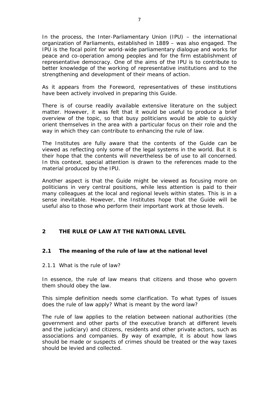In the process, the Inter-Parliamentary Union (IPU) – the international organization of Parliaments, established in 1889 – was also engaged. The IPU is the focal point for world-wide parliamentary dialogue and works for peace and co-operation among peoples and for the firm establishment of representative democracy. One of the aims of the IPU is to contribute to better knowledge of the working of representative institutions and to the strengthening and development of their means of action.

As it appears from the Foreword, representatives of these institutions have been actively involved in preparing this Guide.

There is of course readily available extensive literature on the subject matter. However, it was felt that it would be useful to produce a brief overview of the topic, so that busy politicians would be able to quickly orient themselves in the area with a particular focus on their role and the way in which they can contribute to enhancing the rule of law.

The Institutes are fully aware that the contents of the Guide can be viewed as reflecting only some of the legal systems in the world. But it is their hope that the contents will nevertheless be of use to all concerned. In this context, special attention is drawn to the references made to the material produced by the IPU.

Another aspect is that the Guide might be viewed as focusing more on politicians in very central positions, while less attention is paid to their many colleagues at the local and regional levels within states. This is in a sense inevitable. However, the Institutes hope that the Guide will be useful also to those who perform their important work at those levels.

## <span id="page-6-0"></span>**2 THE RULE OF LAW AT THE NATIONAL LEVEL**

## <span id="page-6-1"></span>*2.1 The meaning of the rule of law at the national level*

#### <span id="page-6-2"></span>*2.1.1 What is the rule of law?*

In essence, the rule of law means that citizens and those who govern them should obey the law.

This simple definition needs some clarification. To what types of issues does the rule of law apply? What is meant by the word law?

The rule of law applies to the relation between national authorities (the government and other parts of the executive branch at different levels and the judiciary) and citizens, residents and other private actors, such as associations and companies. By way of example, it is about how laws should be made or suspects of crimes should be treated or the way taxes should be levied and collected.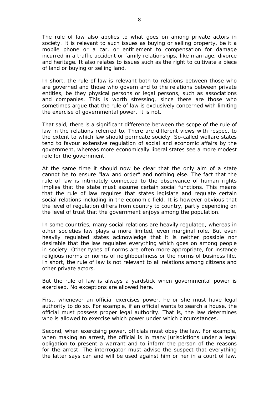The rule of law also applies to what goes on among private actors in society. It is relevant to such issues as buying or selling property, be it a mobile phone or a car, or entitlement to compensation for damage incurred in a traffic accident or family relationships, like marriage, divorce and heritage. It also relates to issues such as the right to cultivate a piece of land or buying or selling land.

In short, the rule of law is relevant both to relations between those who are governed and those who govern and to the relations between private entities, be they physical persons or legal persons, such as associations and companies. This is worth stressing, since there are those who sometimes argue that the rule of law is exclusively concerned with limiting the exercise of governmental power. It is not.

That said, there is a significant difference between the scope of the rule of law in the relations referred to. There are different views with respect to the extent to which law should permeate society. So-called welfare states tend to favour extensive regulation of social and economic affairs by the government, whereas more economically liberal states see a more modest role for the government.

At the same time it should now be clear that the only aim of a state cannot be to ensure "law and order" and nothing else. The fact that the rule of law is intimately connected to the observance of human rights implies that the state must assume certain social functions. This means that the rule of law requires that states legislate and regulate certain social relations including in the economic field. It is however obvious that the level of regulation differs from country to country, partly depending on the level of trust that the government enjoys among the population.

In some countries, many social relations are heavily regulated, whereas in other societies law plays a more limited, even marginal role. But even heavily regulated states acknowledge that it is neither possible nor desirable that the law regulates everything which goes on among people in society. Other types of norms are often more appropriate, for instance religious norms or norms of neighbourliness or the norms of business life. In short, the rule of law is not relevant to all relations among citizens and other private actors.

But the rule of law is always a yardstick when governmental power is exercised. No exceptions are allowed here.

First, whenever an official exercises power, he or she must have legal authority to do so. For example, if an official wants to search a house, the official must possess proper legal authority. That is, the law determines *who* is allowed to exercise which power under which circumstances.

Second, when exercising power, officials must obey the law. For example, when making an arrest, the official is in many jurisdictions under a legal obligation to present a warrant and to inform the person of the reasons for the arrest. The interrogator must advise the suspect that everything the latter says can and will be used against him or her in a court of law.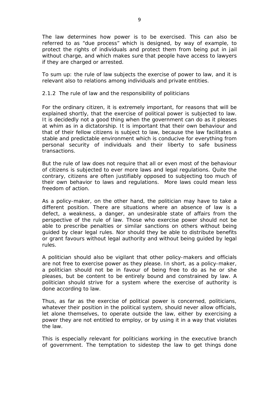The law determines *how* power is to be exercised. This can also be referred to as "due process" which is designed, by way of example, to protect the rights of individuals and protect them from being put in jail without charge, and which makes sure that people have access to lawyers if they are charged or arrested.

To sum up: the rule of law subjects the exercise of power to law, and it is relevant also to relations among individuals and private entities.

## <span id="page-8-0"></span>*2.1.2 The rule of law and the responsibility of politicians*

For the ordinary citizen, it is extremely important, for reasons that will be explained shortly, that the exercise of political power is subjected to law. It is decidedly not a good thing when the government can do as it pleases at whim as in a dictatorship. It is important that their own behaviour and that of their fellow citizens is subject to law, because the law facilitates a stable and predictable environment which is conducive for everything from personal security of individuals and their liberty to safe business transactions.

But the rule of law does not require that all or even most of the behaviour of citizens is subjected to ever more laws and legal regulations. Quite the contrary, citizens are often justifiably opposed to subjecting too much of their own behavior to laws and regulations. More laws could mean less freedom of action.

As a policy-maker, on the other hand, the politician may have to take a different position. There are situations where an absence of law is a defect, a weakness, a danger, an undesirable state of affairs from the perspective of the rule of law. Those who exercise power should not be able to prescribe penalties or similar sanctions on others without being guided by clear legal rules. Nor should they be able to distribute benefits or grant favours without legal authority and without being guided by legal rules.

A politician should also be vigilant that other policy-makers and officials are not free to exercise power as they please. In short, as a policy-maker, a politician should not be in favour of being free to do as he or she pleases, but be content to be entirely bound and constrained by law. A politician should strive for a system where the exercise of authority is done according to law.

Thus, as far as the exercise of political power is concerned, politicians, whatever their position in the political system, should never allow officials, let alone themselves, to operate outside the law, either by exercising a power they are not entitled to employ, or by using it in a way that violates the law.

This is especially relevant for politicians working in the executive branch of government. The temptation to sidestep the law to get things done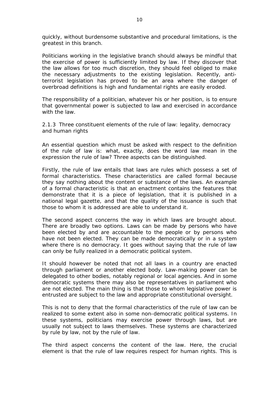quickly, without burdensome substantive and procedural limitations, is the greatest in this branch.

Politicians working in the legislative branch should always be mindful that the exercise of power is sufficiently limited by law. If they discover that the law allows for too much discretion, they should feel obliged to make the necessary adjustments to the existing legislation. Recently, antiterrorist legislation has proved to be an area where the danger of overbroad definitions is high and fundamental rights are easily eroded.

The responsibility of a politician, whatever his or her position, is to ensure that governmental power is subjected to law and exercised in accordance with the law.

<span id="page-9-0"></span>*2.1.3 Three constituent elements of the rule of law: legality, democracy and human rights*

An essential question which must be asked with respect to the definition of the rule of law is: what, exactly, does the word law mean in the expression the rule of law? Three aspects can be distinguished.

Firstly, the rule of law entails that laws are rules which possess a set of formal characteristics. These characteristics are called formal because they say nothing about the content or substance of the laws. An example of a formal characteristic is that an enactment contains the features that demonstrate that it is a piece of legislation, that it is published in a national legal gazette, and that the quality of the issuance is such that those to whom it is addressed are able to understand it.

The second aspect concerns the way in which laws are brought about. There are broadly two options. Laws can be made by persons who have been elected by and are accountable to the people or by persons who have not been elected. They can be made democratically or in a system where there is no democracy. It goes without saying that the rule of law can only be fully realized in a democratic political system.

It should however be noted that not all laws in a country are enacted through parliament or another elected body. Law-making power can be delegated to other bodies, notably regional or local agencies. And in some democratic systems there may also be representatives in parliament who are not elected. The main thing is that those to whom legislative power is entrusted are subject to the law and appropriate constitutional oversight.

This is not to deny that the formal characteristics of the rule of law can be realized to some extent also in some non-democratic political systems. In these systems, politicians may exercise power through laws, but are usually not subject to laws themselves. These systems are characterized by rule *by* law, not by the rule *of* law.

The third aspect concerns the content of the law. Here, the crucial element is that the rule of law requires respect for human rights. This is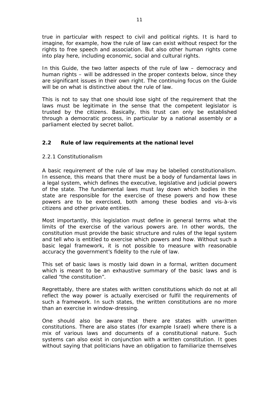true in particular with respect to civil and political rights. It is hard to imagine, for example, how the rule of law can exist without respect for the rights to free speech and association. But also other human rights come into play here, including economic, social and cultural rights.

In this Guide, the two latter aspects of the rule of law – democracy and human rights – will be addressed in the proper contexts below, since they are significant issues in their own right. The continuing focus on the Guide will be on what is distinctive about the rule of law.

This is not to say that one should lose sight of the requirement that the laws must be legitimate in the sense that the competent legislator is trusted by the citizens. Basically, this trust can only be established through a democratic process, in particular by a national assembly or a parliament elected by secret ballot.

## <span id="page-10-0"></span>*2.2 Rule of law requirements at the national level*

## <span id="page-10-1"></span>*2.2.1 Constitutionalism*

A basic requirement of the rule of law may be labelled constitutionalism. In essence, this means that there must be a body of fundamental laws in a legal system, which defines the executive, legislative and judicial powers of the state. The fundamental laws must lay down which bodies in the state are responsible for the exercise of these powers and how these powers are to be exercised, both among these bodies and vis-à-vis citizens and other private entities.

Most importantly, this legislation must define in general terms what the limits of the exercise of the various powers are. In other words, the constitution must provide the basic structure and rules of the legal system and tell who is entitled to exercise which powers and how. Without such a basic legal framework, it is not possible to measure with reasonable accuracy the government's fidelity to the rule of law.

This set of basic laws is mostly laid down in a formal, written document which is meant to be an exhaustive summary of the basic laws and is called "the constitution".

Regrettably, there are states with written constitutions which do not at all reflect the way power is actually exercised or fulfil the requirements of such a framework. In such states, the written constitutions are no more than an exercise in window-dressing.

One should also be aware that there are states with unwritten constitutions. There are also states (for example Israel) where there is a mix of various laws and documents of a constitutional nature. Such systems can also exist in conjunction with a written constitution. It goes without saying that politicians have an obligation to familiarize themselves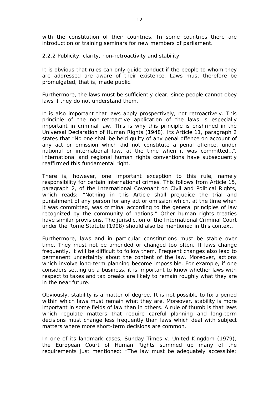with the constitution of their countries. In some countries there are introduction or training seminars for new members of parliament.

#### <span id="page-11-0"></span>*2.2.2 Publicity, clarity, non-retroactivity and stability*

It is obvious that rules can only guide conduct if the people to whom they are addressed are aware of their existence. Laws must therefore be promulgated, that is, made public.

Furthermore, the laws must be sufficiently clear, since people cannot obey laws if they do not understand them.

It is also important that laws apply prospectively, not retroactively. This principle of the non-retroactive application of the laws is especially important in criminal law. This is why this principle is enshrined in the Universal Declaration of Human Rights (1948). Its Article 11, paragraph 2 states that "No one shall be held guilty of any penal offence on account of any act or omission which did not constitute a penal offence, under national or international law, at the time when it was committed…". International and regional human rights conventions have subsequently reaffirmed this fundamental right.

There is, however, one important exception to this rule, namely responsibility for certain international crimes. This follows from Article 15, paragraph 2, of the International Covenant on Civil and Political Rights, which reads: "Nothing in this Article shall prejudice the trial and punishment of any person for any act or omission which, at the time when it was committed, was criminal according to the general principles of law recognized by the community of nations." Other human rights treaties have similar provisions. The jurisdiction of the International Criminal Court under the Rome Statute (1998) should also be mentioned in this context.

Furthermore, laws and in particular constitutions must be stable over time. They must not be amended or changed too often. If laws change frequently, it will be difficult to follow them. Frequent changes also lead to permanent uncertainty about the content of the law. Moreover, actions which involve long-term planning become impossible. For example, if one considers setting up a business, it is important to know whether laws with respect to taxes and tax breaks are likely to remain roughly what they are in the near future.

Obviously, stability is a matter of degree. It is not possible to fix a period within which laws must remain what they are. Moreover, stability is more important in some fields of law than in others. A rule of thumb is that laws which regulate matters that require careful planning and long-term decisions must change less frequently than laws which deal with subject matters where more short-term decisions are common.

In one of its landmark cases, *Sunday Times v. United Kingdom* (1979), the European Court of Human Rights summed up many of the requirements just mentioned: "The law must be adequately accessible: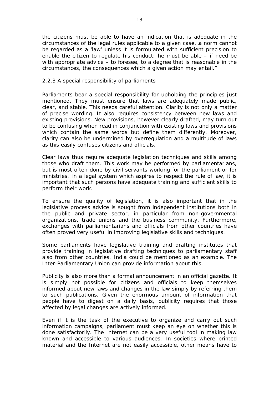the citizens must be able to have an indication that is adequate in the circumstances of the legal rules applicable to a given case…a norm cannot be regarded as a 'law' unless it is formulated with sufficient precision to enable the citizen to regulate his conduct: he must be able – if need be with appropriate advice – to foresee, to a degree that is reasonable in the circumstances, the consequences which a given action may entail."

## <span id="page-12-0"></span>*2.2.3 A special responsibility of parliaments*

Parliaments bear a special responsibility for upholding the principles just mentioned. They must ensure that laws are adequately made public, clear, and stable. This needs careful attention. Clarity is not only a matter of precise wording. It also requires consistency between new laws and existing provisions. New provisions, however clearly drafted, may turn out to be confusing when read in conjunction with existing laws and provisions which contain the same words but define them differently. Moreover, clarity can also be undermined by overregulation and a multitude of laws as this easily confuses citizens and officials.

Clear laws thus require adequate legislation techniques and skills among those who draft them. This work may be performed by parliamentarians, but is most often done by civil servants working for the parliament or for ministries. In a legal system which aspires to respect the rule of law, it is important that such persons have adequate training and sufficient skills to perform their work.

To ensure the quality of legislation, it is also important that in the legislative process advice is sought from independent institutions both in the public and private sector, in particular from non-governmental organizations, trade unions and the business community. Furthermore, exchanges with parliamentarians and officials from other countries have often proved very useful in improving legislative skills and techniques.

Some parliaments have legislative training and drafting institutes that provide training in legislative drafting techniques to parliamentary staff also from other countries. India could be mentioned as an example. The Inter-Parliamentary Union can provide information about this.

Publicity is also more than a formal announcement in an official gazette. It is simply not possible for citizens and officials to keep themselves informed about new laws and changes in the law simply by referring them to such publications. Given the enormous amount of information that people have to digest on a daily basis, publicity requires that those affected by legal changes are actively informed.

Even if it is the task of the executive to organize and carry out such information campaigns, parliament must keep an eye on whether this is done satisfactorily. The Internet can be a very useful tool in making law known and accessible to various audiences. In societies where printed material and the Internet are not easily accessible, other means have to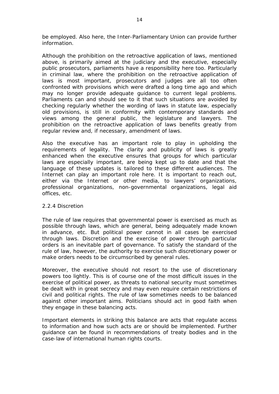be employed. Also here, the Inter-Parliamentary Union can provide further information.

Although the prohibition on the retroactive application of laws, mentioned above, is primarily aimed at the judiciary and the executive, especially public prosecutors, parliaments have a responsibility here too. Particularly in criminal law, where the prohibition on the retroactive application of laws is most important, prosecutors and judges are all too often confronted with provisions which were drafted a long time ago and which may no longer provide adequate guidance to current legal problems. Parliaments can and should see to it that such situations are avoided by checking regularly whether the wording of laws in statute law, especially old provisions, is still in conformity with contemporary standards and views among the general public, the legislature and lawyers. The prohibition on the retroactive application of laws benefits greatly from regular review and, if necessary, amendment of laws.

Also the executive has an important role to play in upholding the requirements of legality. The clarity and publicity of laws is greatly enhanced when the executive ensures that groups for which particular laws are especially important, are being kept up to date and that the language of these updates is tailored to these different audiences. The Internet can play an important role here. It is important to reach out, either via the Internet or other media, to lawyers' organizations, professional organizations, non-governmental organizations, legal aid offices, etc.

## <span id="page-13-0"></span>*2.2.4 Discretion*

The rule of law requires that governmental power is exercised as much as possible through laws, which are general, being adequately made known in advance, etc. But political power cannot in all cases be exercised through laws. Discretion and the exercise of power through particular orders is an inevitable part of governance. To satisfy the standard of the rule of law, however, the authority to exercise such discretionary power or make orders needs to be circumscribed by general rules.

Moreover, the executive should not resort to the use of discretionary powers too lightly. This is of course one of the most difficult issues in the exercise of political power, as threats to national security must sometimes be dealt with in great secrecy and may even require certain restrictions of civil and political rights. The rule of law sometimes needs to be balanced against other important aims. Politicians should act in good faith when they engage in these balancing acts.

Important elements in striking this balance are acts that regulate access to information and how such acts are or should be implemented. Further guidance can be found in recommendations of treaty bodies and in the case-law of international human rights courts.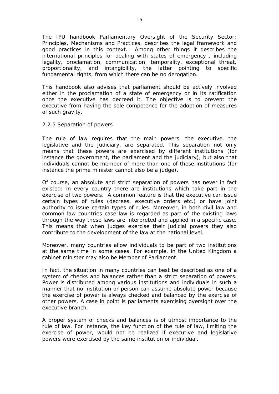The IPU handbook *Parliamentary Oversight of the Security Sector: Principles, Mechanisms and Practices*, describes the legal framework and good practices in this context. Among other things it describes the international principles for dealing with states of emergency , including legality, proclamation, communication, temporality, exceptional threat, proportionality, and intangibility, the latter pointing to specific fundamental rights, from which there can be no derogation.

This handbook also advises that parliament should be actively involved either in the proclamation of a state of emergency or in its ratification once the executive has decreed it. The objective is to prevent the executive from having the sole competence for the adoption of measures of such gravity.

## <span id="page-14-0"></span>*2.2.5 Separation of powers*

The rule of law requires that the main powers, the executive, the legislative and the judiciary, are separated. This separation not only means that these powers are exercised by different institutions (for instance the government, the parliament and the judiciary), but also that individuals cannot be member of more than one of these institutions (for instance the prime minister cannot also be a judge).

Of course, an absolute and strict separation of powers has never in fact existed: in every country there are institutions which take part in the exercise of two powers. A common feature is that the executive can issue certain types of rules (decrees, executive orders etc.) or have joint authority to issue certain types of rules. Moreover, in both civil law and common law countries case-law is regarded as part of the existing laws through the way these laws are interpreted and applied in a specific case. This means that when judges exercise their judicial powers they also contribute to the development of the law at the national level.

Moreover, many countries allow individuals to be part of two institutions at the same time in some cases. For example, in the United Kingdom a cabinet minister may also be Member of Parliament.

In fact, the situation in many countries can best be described as one of a system of checks and balances rather than a strict separation of powers. Power is distributed among various institutions and individuals in such a manner that no institution or person can assume absolute power because the exercise of power is always checked and balanced by the exercise of other powers. A case in point is parliaments exercising oversight over the executive branch.

A proper system of checks and balances is of utmost importance to the rule of law. For instance, the key function of the rule of law, limiting the exercise of power, would not be realized if executive and legislative powers were exercised by the same institution or individual.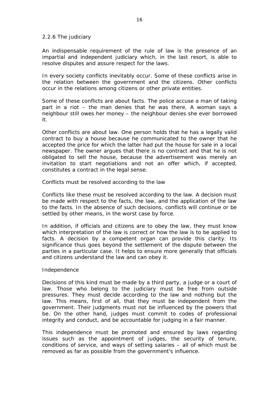#### <span id="page-15-0"></span>*2.2.6 The judiciary*

An indispensable requirement of the rule of law is the presence of an impartial and independent judiciary which, in the last resort, is able to resolve disputes and assure respect for the laws.

In every society conflicts inevitably occur. Some of these conflicts arise in the relation between the government and the citizens. Other conflicts occur in the relations among citizens or other private entities.

Some of these conflicts are about facts. The police accuse a man of taking part in a riot – the man denies that he was there. A woman says a neighbour still owes her money – the neighbour denies she ever borrowed it.

Other conflicts are about law. One person holds that he has a legally valid contract to buy a house because he communicated to the owner that he accepted the price for which the latter had put the house for sale in a local newspaper. The owner argues that there is no contract and that he is not obligated to sell the house, because the advertisement was merely an invitation to start negotiations and not an offer which, if accepted, constitutes a contract in the legal sense.

Conflicts must be resolved according to the law

Conflicts like these must be resolved according to the law. A decision must be made with respect to the facts, the law, and the application of the law to the facts. In the absence of such decisions, conflicts will continue or be settled by other means, in the worst case by force.

In addition, if officials and citizens are to obey the law, they must know which interpretation of the law is correct or how the law is to be applied to facts. A decision by a competent organ can provide this clarity. Its significance thus goes beyond the settlement of the dispute between the parties in a particular case. It helps to ensure more generally that officials and citizens understand the law and can obey it.

#### Independence

Decisions of this kind must be made by a third party, a judge or a court of law. Those who belong to the judiciary must be free from outside pressures. They must decide according to the law and nothing but the law. This means, first of all, that they must be independent from the government. Their judgments must not be influenced by the powers that be. On the other hand, judges must commit to codes of professional integrity and conduct, and be accountable for judging in a fair manner.

This independence must be promoted and ensured by laws regarding issues such as the appointment of judges, the security of tenure, conditions of service, and ways of setting salaries – all of which must be removed as far as possible from the government's influence.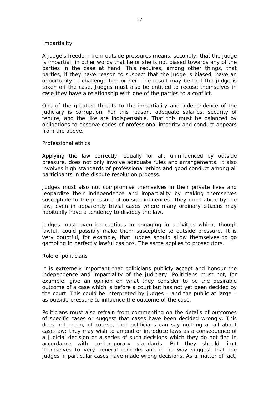#### Impartiality

A judge's freedom from outside pressures means, secondly, that the judge is impartial, in other words that he or she is not biased towards any of the parties in the case at hand. This requires, among other things, that parties, if they have reason to suspect that the judge is biased, have an opportunity to challenge him or her. The result may be that the judge is taken off the case. Judges must also be entitled to recuse themselves in case they have a relationship with one of the parties to a conflict.

One of the greatest threats to the impartiality and independence of the judiciary is corruption. For this reason, adequate salaries, security of tenure, and the like are indispensable. That this must be balanced by obligations to observe codes of professional integrity and conduct appears from the above.

#### Professional ethics

Applying the law correctly, equally for all, uninfluenced by outside pressure, does not only involve adequate rules and arrangements. It also involves high standards of professional ethics and good conduct among all participants in the dispute resolution process.

Judges must also not compromise themselves in their private lives and jeopardize their independence and impartiality by making themselves susceptible to the pressure of outside influences. They must abide by the law, even in apparently trivial cases where many ordinary citizens may habitually have a tendency to disobey the law.

Judges must even be cautious in engaging in activities which, though lawful, could possibly make them susceptible to outside pressure. It is very doubtful, for example, that judges should allow themselves to go gambling in perfectly lawful casinos. The same applies to prosecutors.

#### Role of politicians

It is extremely important that politicians publicly accept and honour the independence and impartiality of the judiciary. Politicians must not, for example, give an opinion on what they consider to be the desirable outcome of a case which is before a court but has not yet been decided by the court. This could be interpreted by judges – and the public at large – as outside pressure to influence the outcome of the case.

Politicians must also refrain from commenting on the details of outcomes of specific cases or suggest that cases have been decided wrongly. This does not mean, of course, that politicians can say nothing at all about case-law; they may wish to amend or introduce laws as a consequence of a judicial decision or a series of such decisions which they do not find in accordance with contemporary standards. But they should limit themselves to very general remarks and in no way suggest that the judges in particular cases have made wrong decisions. As a matter of fact,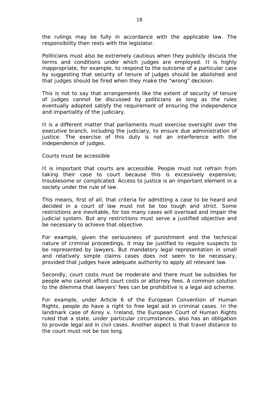the rulings may be fully in accordance with the applicable law. The responsibility then rests with the legislator.

Politicians must also be extremely cautious when they publicly discuss the terms and conditions under which judges are employed. It is highly inappropriate, for example, to respond to the outcome of a particular case by suggesting that security of tenure of judges should be abolished and that judges should be fired when they make the "wrong" decision.

This is not to say that arrangements like the extent of security of tenure of judges cannot be discussed by politicians as long as the rules eventually adopted satisfy the requirement of ensuring the independence and impartiality of the judiciary.

It is a different matter that parliaments must exercise oversight over the executive branch, including the judiciary, to ensure due administration of justice. The exercise of this duty is not an interference with the independence of judges.

#### Courts must be accessible

It is important that courts are accessible. People must not refrain from taking their case to court because this is excessively expensive, troublesome or complicated. Access to justice is an important element in a society under the rule of law.

This means, first of all, that criteria for admitting a case to be heard and decided in a court of law must not be too tough and strict. Some restrictions are inevitable, for too many cases will overload and impair the judicial system. But any restrictions must serve a justified objective and be necessary to achieve that objective.

For example, given the seriousness of punishment and the technical nature of criminal proceedings, it may be justified to require suspects to be represented by lawyers. But mandatory legal representation in small and relatively simple claims cases does not seem to be necessary, provided that judges have adequate authority to apply all relevant law.

Secondly, court costs must be moderate and there must be subsidies for people who cannot afford court costs or attorney fees. A common solution to the dilemma that lawyers' fees can be prohibitive is a legal aid scheme.

For example, under Article 6 of the European Convention of Human Rights, people do have a right to free legal aid in criminal cases. In the landmark case of *Airey v. Ireland*, the European Court of Human Rights ruled that a state, under particular circumstances, also has an obligation to provide legal aid in civil cases. Another aspect is that travel distance to the court must not be too long.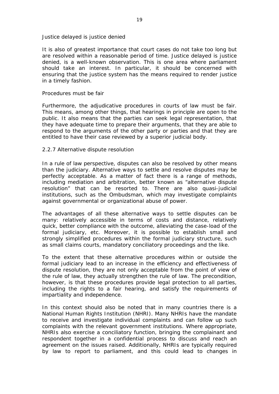#### Justice delayed is justice denied

It is also of greatest importance that court cases do not take too long but are resolved within a reasonable period of time. Justice delayed is justice denied, is a well-known observation. This is one area where parliament should take an interest. In particular, it should be concerned with ensuring that the justice system has the means required to render justice in a timely fashion.

#### Procedures must be fair

Furthermore, the adjudicative procedures in courts of law must be fair. This means, among other things, that hearings in principle are open to the public. It also means that the parties can seek legal representation, that they have adequate time to prepare their arguments, that they are able to respond to the arguments of the other party or parties and that they are entitled to have their case reviewed by a superior judicial body.

#### <span id="page-18-0"></span>*2.2.7 Alternative dispute resolution*

In a rule of law perspective, disputes can also be resolved by other means than the judiciary. Alternative ways to settle and resolve disputes may be perfectly acceptable. As a matter of fact there is a range of methods, including mediation and arbitration, better known as "alternative dispute resolution" that can be resorted to. There are also quasi-judicial institutions, such as the Ombudsman, which may investigate complaints against governmental or organizational abuse of power.

The advantages of all these alternative ways to settle disputes can be many: relatively accessible in terms of costs and distance, relatively quick, better compliance with the outcome, alleviating the case-load of the formal judiciary, etc. Moreover, it is possible to establish small and strongly simplified procedures within the formal judiciary structure, such as small claims courts, mandatory conciliatory proceedings and the like.

To the extent that these alternative procedures within or outside the formal judiciary lead to an increase in the efficiency and effectiveness of dispute resolution, they are not only acceptable from the point of view of the rule of law, they actually strengthen the rule of law. The precondition, however, is that these procedures provide legal protection to all parties, including the rights to a fair hearing, and satisfy the requirements of impartiality and independence.

In this context should also be noted that in many countries there is a National Human Rights Institution (NHRI). Many NHRIs have the mandate to receive and investigate individual complaints and can follow up such complaints with the relevant government institutions. Where appropriate, NHRIs also exercise a conciliatory function, bringing the complainant and respondent together in a confidential process to discuss and reach an agreement on the issues raised. Additionally, NHRIs are typically required by law to report to parliament, and this could lead to changes in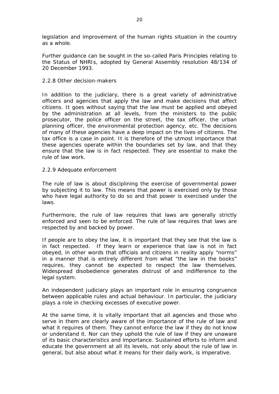legislation and improvement of the human rights situation in the country as a whole.

Further guidance can be sought in the so-called Paris Principles relating to the Status of NHRIs, adopted by General Assembly resolution 48/134 of 20 December 1993.

## <span id="page-19-0"></span>*2.2.8 Other decision-makers*

In addition to the judiciary, there is a great variety of administrative officers and agencies that apply the law and make decisions that affect citizens. It goes without saying that the law must be applied and obeyed by the administration at all levels, from the ministers to the public prosecutor, the police officer on the street, the tax officer, the urban planning officer, the environmental protection agency, etc. The decisions of many of these agencies have a deep impact on the lives of citizens. The tax office is a case in point. It is therefore of the utmost importance that these agencies operate within the boundaries set by law, and that they ensure that the law is in fact respected. They are essential to make the rule of law work.

## <span id="page-19-1"></span>*2.2.9 Adequate enforcement*

The rule of law is about disciplining the exercise of governmental power by subjecting it to law. This means that power is exercised only by those who have legal authority to do so and that power is exercised under the laws.

Furthermore, the rule of law requires that laws are generally strictly enforced and seen to be enforced. The rule of law requires that laws are respected by and backed by power.

If people are to obey the law, it is important that they see that the law is in fact respected. If they learn or experience that law is not in fact obeyed, in other words that officials and citizens in reality apply "norms" in a manner that is entirely different from what "the law in the books" requires, they cannot be expected to respect the law themselves. Widespread disobedience generates distrust of and indifference to the legal system.

An independent judiciary plays an important role in ensuring congruence between applicable rules and actual behaviour. In particular, the judiciary plays a role in checking excesses of executive power.

At the same time, it is vitally important that all agencies and those who serve in them are clearly aware of the importance of the rule of law and what it requires of them. They cannot enforce the law if they do not know or understand it. Nor can they uphold the rule of law if they are unaware of its basic characteristics and importance. Sustained efforts to inform and educate the government at all its levels, not only about the rule of law in general, but also about what it means for their daily work, is imperative.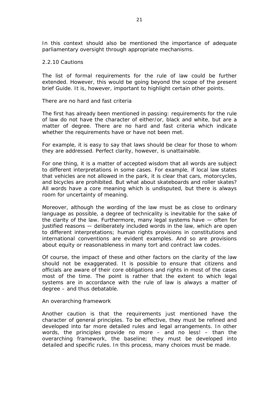In this context should also be mentioned the importance of adequate parliamentary oversight through appropriate mechanisms.

#### <span id="page-20-0"></span>*2.2.10 Cautions*

The list of formal requirements for the rule of law could be further extended. However, this would be going beyond the scope of the present brief Guide. It is, however, important to highlight certain other points.

#### There are no hard and fast criteria

The first has already been mentioned in passing: requirements for the rule of law do not have the character of either/or, black and white, but are a matter of degree. There are no hard and fast criteria which indicate whether the requirements have or have not been met.

For example, it is easy to say that laws should be clear for those to whom they are addressed. Perfect clarity, however, is unattainable.

For one thing, it is a matter of accepted wisdom that all words are subject to different interpretations in some cases. For example, if local law states that vehicles are not allowed in the park, it is clear that cars, motorcycles, and bicycles are prohibited. But what about skateboards and roller skates? All words have a core meaning which is undisputed, but there is always room for uncertainty of meaning.

Moreover, although the wording of the law must be as close to ordinary language as possible, a degree of technicality is inevitable for the sake of the clarity of the law. Furthermore, many legal systems have  $-$  often for justified reasons ― deliberately included words in the law, which are open to different interpretations; human rights provisions in constitutions and international conventions are evident examples. And so are provisions about equity or reasonableness in many tort and contract law codes.

Of course, the impact of these and other factors on the clarity of the law should not be exaggerated. It is possible to ensure that citizens and officials are aware of their core obligations and rights in most of the cases most of the time. The point is rather that the extent to which legal systems are in accordance with the rule of law is always a matter of degree – and thus debatable.

An overarching framework

Another caution is that the requirements just mentioned have the character of general principles. To be effective, they must be refined and developed into far more detailed rules and legal arrangements. In other words, the principles provide no more – and no less! – than the overarching framework, the baseline; they must be developed into detailed and specific rules. In this process, many choices must be made.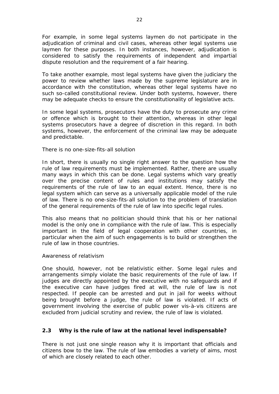For example, in some legal systems laymen do not participate in the adjudication of criminal and civil cases, whereas other legal systems use laymen for these purposes. In both instances, however, adjudication is considered to satisfy the requirements of independent and impartial dispute resolution and the requirement of a fair hearing.

To take another example, most legal systems have given the judiciary the power to review whether laws made by the supreme legislature are in accordance with the constitution, whereas other legal systems have no such so-called constitutional review. Under both systems, however, there may be adequate checks to ensure the constitutionality of legislative acts.

In some legal systems, prosecutors have the duty to prosecute any crime or offence which is brought to their attention, whereas in other legal systems prosecutors have a degree of discretion in this regard. In both systems, however, the enforcement of the criminal law may be adequate and predictable.

There is no one-size-fits-all solution

In short, there is usually no single right answer to the question how the rule of law requirements must be implemented. Rather, there are usually many ways in which this can be done. Legal systems which vary greatly over the precise content of rules and institutions may satisfy the requirements of the rule of law to an equal extent. Hence, there is no legal system which can serve as a universally applicable model of the rule of law. There is no one-size-fits-all solution to the problem of translation of the general requirements of the rule of law into specific legal rules.

This also means that no politician should think that his or her national model is the only one in compliance with the rule of law. This is especially important in the field of legal cooperation with other countries, in particular when the aim of such engagements is to build or strengthen the rule of law in those countries.

## Awareness of relativism

One should, however, not be relativistic either. Some legal rules and arrangements simply violate the basic requirements of the rule of law. If judges are directly appointed by the executive with no safeguards and if the executive can have judges fired at will, the rule of law is not respected. If people can be arrested and put in jail for weeks without being brought before a judge, the rule of law is violated. If acts of government involving the exercise of public power vis-à-vis citizens are excluded from judicial scrutiny and review, the rule of law is violated.

## <span id="page-21-0"></span>*2.3 Why is the rule of law at the national level indispensable?*

There is not just one single reason why it is important that officials and citizens bow to the law. The rule of law embodies a variety of aims, most of which are closely related to each other.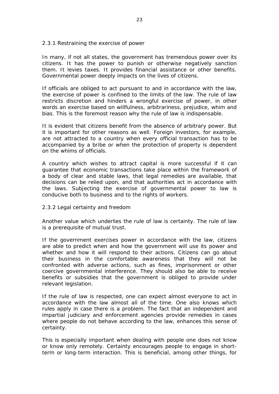## <span id="page-22-0"></span>*2.3.1 Restraining the exercise of power*

In many, if not all states, the government has tremendous power over its citizens. It has the power to punish or otherwise negatively sanction them. It levies taxes. It provides financial assistance or other benefits. Governmental power deeply impacts on the lives of citizens.

If officials are obliged to act pursuant to and in accordance with the law, the exercise of power is confined to the limits of the law. The rule of law restricts discretion and hinders a wrongful exercise of power, in other words an exercise based on willfulness, arbitrariness, prejudice, whim and bias. This is the foremost reason why the rule of law is indispensable.

It is evident that citizens benefit from the absence of arbitrary power. But it is important for other reasons as well. Foreign investors, for example, are not attracted to a country when every official transaction has to be accompanied by a bribe or when the protection of property is dependent on the whims of officials.

A country which wishes to attract capital is more successful if it can guarantee that economic transactions take place within the framework of a body of clear and stable laws, that legal remedies are available, that decisions can be relied upon, and that authorities act in accordance with the laws. Subjecting the exercise of governmental power to law is conducive both to business and to the rights of workers.

## <span id="page-22-1"></span>*2.3.2 Legal certainty and freedom*

Another value which underlies the rule of law is certainty. The rule of law is a prerequisite of mutual trust.

If the government exercises power in accordance with the law, citizens are able to predict when and how the government will use its power and whether and how it will respond to their actions. Citizens can go about their business in the comfortable awareness that they will not be confronted with adverse actions, such as fines, imprisonment or other coercive governmental interference. They should also be able to receive benefits or subsidies that the government is obliged to provide under relevant legislation.

If the rule of law is respected, one can expect almost everyone to act in accordance with the law almost all of the time. One also knows which rules apply in case there is a problem. The fact that an independent and impartial judiciary and enforcement agencies provide remedies in cases where people do not behave according to the law, enhances this sense of certainty.

This is especially important when dealing with people one does not know or know only remotely. Certainty encourages people to engage in shortterm or long-term interaction. This is beneficial, among other things, for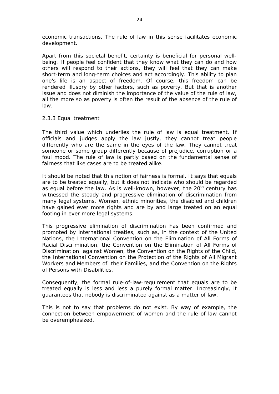economic transactions. The rule of law in this sense facilitates economic development.

Apart from this societal benefit, certainty is beneficial for personal wellbeing. If people feel confident that they know what they can do and how others will respond to their actions, they will feel that they can make short-term and long-term choices and act accordingly. This ability to plan one's life is an aspect of freedom. Of course, this freedom can be rendered illusory by other factors, such as poverty. But that is another issue and does not diminish the importance of the value of the rule of law, all the more so as poverty is often the result of the absence of the rule of law.

#### <span id="page-23-0"></span>*2.3.3 Equal treatment*

The third value which underlies the rule of law is equal treatment. If officials and judges apply the law justly, they cannot treat people differently who are the same in the eyes of the law. They cannot treat someone or some group differently because of prejudice, corruption or a foul mood. The rule of law is partly based on the fundamental sense of fairness that like cases are to be treated alike.

It should be noted that this notion of fairness is formal. It says that equals are to be treated equally, but it does not indicate who should be regarded as equal before the law. As is well-known, however, the  $20<sup>th</sup>$  century has witnessed the steady and progressive elimination of discrimination from many legal systems. Women, ethnic minorities, the disabled and children have gained ever more rights and are by and large treated on an equal footing in ever more legal systems.

This progressive elimination of discrimination has been confirmed and promoted by international treaties, such as, in the context of the United Nations, the International Convention on the Elimination of All Forms of Racial Discrimination, the Convention on the Elimination of All Forms of Discrimination against Women, the Convention on the Rights of the Child, the International Convention on the Protection of the Rights of All Migrant Workers and Members of their Families, and the Convention on the Rights of Persons with Disabilities.

Consequently, the formal rule-of-law-requirement that equals are to be treated equally is less and less a purely formal matter. Increasingly, it guarantees that nobody is discriminated against as a matter of law.

This is not to say that problems do not exist. By way of example, the connection between empowerment of women and the rule of law cannot be overemphasized.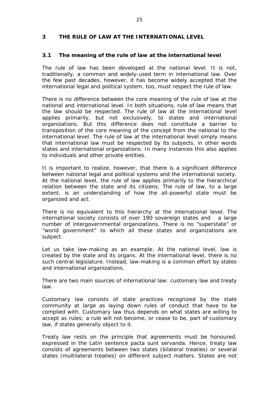## <span id="page-24-0"></span>**3 THE RULE OF LAW AT THE INTERNATIONAL LEVEL**

## <span id="page-24-1"></span>*3.1 The meaning of the rule of law at the international level*

The rule of law has been developed at the national level. It is not, traditionally, a common and widely-used term in international law. Over the few past decades, however, it has become widely accepted that the international legal and political system, too, must respect the rule of law.

There is no difference between the core meaning of the rule of law at the national and international level. In both situations, rule of law means that the law should be respected. The rule of law at the international level applies primarily, but not exclusively, to states and international organizations. But this difference does not constitute a barrier to transposition of the core meaning of the concept from the national to the international level. The rule of law at the international level simply means that international law must be respected by its subjects, in other words states and international organizations. In many instances this also applies to individuals and other private entities.

It is important to realize, however, that there is a significant difference between national legal and political systems and the international society. At the national level, the rule of law applies primarily to the hierarchical relation between the state and its citizens. The rule of law, to a large extent, is an understanding of how the all-powerful state must be organized and act.

There is no equivalent to this hierarchy at the international level. The international society consists of over 190 sovereign states and a large number of intergovernmental organizations. There is no "superstate" or "world government" to which all these states and organizations are subject.

Let us take law-making as an example. At the national level, law is created by the state and its organs. At the international level, there is no such central legislature. Instead, law-making is a common effort by states and international organizations.

There are two main sources of international law: customary law and treaty law.

Customary law consists of state practices recognized by the state community at large as laying down rules of conduct that have to be complied with. Customary law thus depends on what states are willing to accept as rules; a rule will not become, or cease to be, part of customary law, if states generally object to it.

Treaty law rests on the principle that agreements must be honoured, expressed in the Latin sentence *pacta sunt servanda*. Hence, treaty law consists of agreements between two states (bilateral treaties) or several states (multilateral treaties) on different subject matters. States are not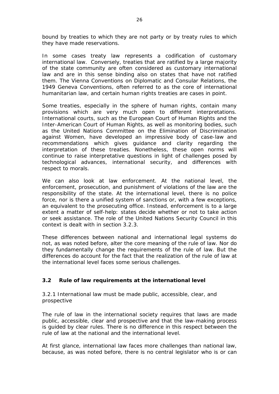bound by treaties to which they are not party or by treaty rules to which they have made reservations.

In some cases treaty law represents a codification of customary international law. Conversely, treaties that are ratified by a large majority of the state community are often considered as customary international law and are in this sense binding also on states that have not ratified them. The Vienna Conventions on Diplomatic and Consular Relations, the 1949 Geneva Conventions, often referred to as the core of international humanitarian law, and certain human rights treaties are cases in point.

Some treaties, especially in the sphere of human rights, contain many provisions which are very much open to different interpretations. International courts, such as the European Court of Human Rights and the Inter-American Court of Human Rights, as well as monitoring bodies, such as the United Nations Committee on the Elimination of Discrimination against Women, have developed an impressive body of case-law and recommendations which gives guidance and clarity regarding the interpretation of these treaties. Nonetheless, these open norms will continue to raise interpretative questions in light of challenges posed by technological advances, international security, and differences with respect to morals.

We can also look at law enforcement. At the national level, the enforcement, prosecution, and punishment of violations of the law are the responsibility of the state. At the international level, there is no police force, nor is there a unified system of sanctions or, with a few exceptions, an equivalent to the prosecuting office. Instead, enforcement is to a large extent a matter of self-help: states decide whether or not to take action or seek assistance. The role of the United Nations Security Council in this context is dealt with in section 3.2.3.

These differences between national and international legal systems do not, as was noted before, alter the core meaning of the rule of law. Nor do they fundamentally change the requirements of the rule of law. But the differences do account for the fact that the realization of the rule of law at the international level faces some serious challenges.

## <span id="page-25-0"></span>*3.2 Rule of law requirements at the international level*

## <span id="page-25-1"></span>*3.2.1 International law must be made public, accessible, clear, and prospective*

The rule of law in the international society requires that laws are made public, accessible, clear and prospective and that the law-making process is guided by clear rules. There is no difference in this respect between the rule of law at the national and the international level.

At first glance, international law faces more challenges than national law, because, as was noted before, there is no central legislator who is or can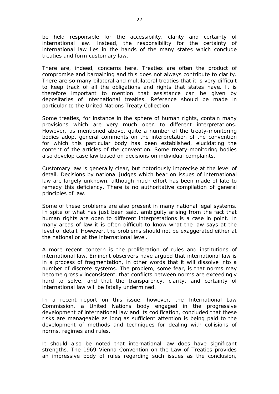be held responsible for the accessibility, clarity and certainty of international law. Instead, the responsibility for the certainty of international law lies in the hands of the many states which conclude treaties and form customary law.

There are, indeed, concerns here. Treaties are often the product of compromise and bargaining and this does not always contribute to clarity. There are so many bilateral and multilateral treaties that it is very difficult to keep track of all the obligations and rights that states have. It is therefore important to mention that assistance can be given by depositaries of international treaties. Reference should be made in particular to the United Nations Treaty Collection.

Some treaties, for instance in the sphere of human rights, contain many provisions which are very much open to different interpretations. However, as mentioned above, quite a number of the treaty-monitoring bodies adopt general comments on the interpretation of the convention for which this particular body has been established, elucidating the content of the articles of the convention. Some treaty-monitoring bodies also develop case law based on decisions on individual complaints.

Customary law is generally clear, but notoriously imprecise at the level of detail. Decisions by national judges which bear on issues of international law are largely unknown, although much effort has been made of late to remedy this deficiency. There is no authoritative compilation of general principles of law.

Some of these problems are also present in many national legal systems. In spite of what has just been said, ambiguity arising from the fact that human rights are open to different interpretations is a case in point. In many areas of law it is often difficult to know what the law says at the level of detail. However, the problems should not be exaggerated either at the national or at the international level.

A more recent concern is the proliferation of rules and institutions of international law. Eminent observers have argued that international law is in a process of fragmentation, in other words that it will dissolve into a number of discrete systems. The problem, some fear, is that norms may become grossly inconsistent, that conflicts between norms are exceedingly hard to solve, and that the transparency, clarity, and certainty of international law will be fatally undermined.

In a recent report on this issue, however, the International Law Commission, a United Nations body engaged in the progressive development of international law and its codification, concluded that these risks are manageable as long as sufficient attention is being paid to the development of methods and techniques for dealing with collisions of norms, regimes and rules.

It should also be noted that international law does have significant strengths. The 1969 Vienna Convention on the Law of Treaties provides an impressive body of rules regarding such issues as the conclusion,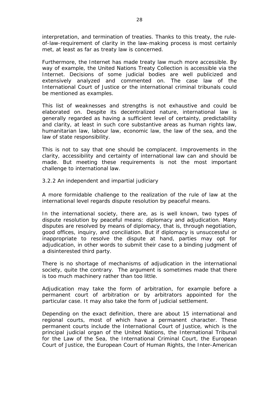interpretation, and termination of treaties. Thanks to this treaty, the ruleof-law-requirement of clarity in the law-making process is most certainly met, at least as far as treaty law is concerned.

Furthermore, the Internet has made treaty law much more accessible. By way of example, the United Nations Treaty Collection is accessible via the Internet. Decisions of some judicial bodies are well publicized and extensively analyzed and commented on. The case law of the International Court of Justice or the international criminal tribunals could be mentioned as examples.

This list of weaknesses and strengths is not exhaustive and could be elaborated on. Despite its decentralized nature, international law is generally regarded as having a sufficient level of certainty, predictability and clarity, at least in such core substantive areas as human rights law, humanitarian law, labour law, economic law, the law of the sea, and the law of state responsibility.

This is not to say that one should be complacent. Improvements in the clarity, accessibility and certainty of international law can and should be made. But meeting these requirements is not *the* most important challenge to international law.

## <span id="page-27-0"></span>*3.2.2 An independent and impartial judiciary*

A more formidable challenge to the realization of the rule of law at the international level regards dispute resolution by peaceful means.

In the international society, there are, as is well known, two types of dispute resolution by peaceful means: diplomacy and adjudication. Many disputes are resolved by means of diplomacy, that is, through negotiation, good offices, inquiry, and conciliation. But if diplomacy is unsuccessful or inappropriate to resolve the dispute at hand, parties may opt for adjudication, in other words to submit their case to a binding judgment of a disinterested third party.

There is no shortage of mechanisms of adjudication in the international society, quite the contrary. The argument is sometimes made that there is too much machinery rather than too little.

Adjudication may take the form of arbitration, for example before a permanent court of arbitration or by arbitrators appointed for the particular case. It may also take the form of judicial settlement.

Depending on the exact definition, there are about 15 international and regional courts, most of which have a permanent character. These permanent courts include the International Court of Justice, which is the principal judicial organ of the United Nations, the International Tribunal for the Law of the Sea, the International Criminal Court, the European Court of Justice, the European Court of Human Rights, the Inter-American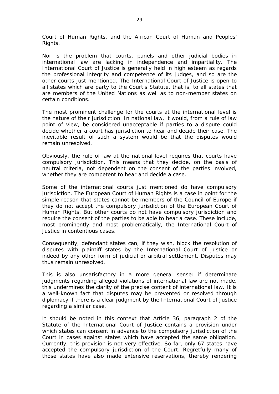Court of Human Rights, and the African Court of Human and Peoples' Rights.

Nor is the problem that courts, panels and other judicial bodies in international law are lacking in independence and impartiality. The International Court of Justice is generally held in high esteem as regards the professional integrity and competence of its judges, and so are the other courts just mentioned. The International Court of Justice is open to all states which are party to the Court's Statute, that is, to all states that are members of the United Nations as well as to non-member states on certain conditions.

The most prominent challenge for the courts at the international level is the nature of their jurisdiction. In national law, it would, from a rule of law point of view, be considered unacceptable if parties to a dispute could decide whether a court has jurisdiction to hear and decide their case. The inevitable result of such a system would be that the disputes would remain unresolved.

Obviously, the rule of law at the national level requires that courts have compulsory jurisdiction. This means that they decide, on the basis of neutral criteria, not dependent on the consent of the parties involved, whether they are competent to hear and decide a case.

Some of the international courts just mentioned do have compulsory jurisdiction. The European Court of Human Rights is a case in point for the simple reason that states cannot be members of the Council of Europe if they do not accept the compulsory jurisdiction of the European Court of Human Rights. But other courts do not have compulsory jurisdiction and require the consent of the parties to be able to hear a case. These include, most prominently and most problematically, the International Court of Justice in contentious cases.

Consequently, defendant states can, if they wish, block the resolution of disputes with plaintiff states by the International Court of Justice or indeed by any other form of judicial or arbitral settlement. Disputes may thus remain unresolved.

This is also unsatisfactory in a more general sense: if determinate judgments regarding alleged violations of international law are not made, this undermines the clarity of the precise content of international law. It is a well-known fact that disputes may be prevented or resolved through diplomacy if there is a clear judgment by the International Court of Justice regarding a similar case.

It should be noted in this context that Article 36, paragraph 2 of the Statute of the International Court of Justice contains a provision under which states can consent in advance to the compulsory jurisdiction of the Court in cases against states which have accepted the same obligation. Currently, this provision is not very effective. So far, only 67 states have accepted the compulsory jurisdiction of the Court. Regretfully many of those states have also made extensive reservations, thereby rendering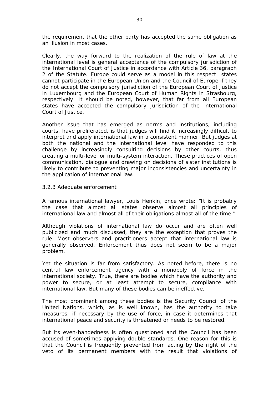the requirement that the other party has accepted the same obligation as an illusion in most cases.

Clearly, the way forward to the realization of the rule of law at the international level is general acceptance of the compulsory jurisdiction of the International Court of Justice in accordance with Article 36, paragraph 2 of the Statute. Europe could serve as a model in this respect: states cannot participate in the European Union and the Council of Europe if they do not accept the compulsory jurisdiction of the European Court of Justice in Luxembourg and the European Court of Human Rights in Strasbourg, respectively. It should be noted, however, that far from all European states have accepted the compulsory jurisdiction of the International Court of Justice.

Another issue that has emerged as norms and institutions, including courts, have proliferated, is that judges will find it increasingly difficult to interpret and apply international law in a consistent manner. But judges at both the national and the international level have responded to this challenge by increasingly consulting decisions by other courts, thus creating a multi-level or multi-system interaction. These practices of open communication, dialogue and drawing on decisions of sister institutions is likely to contribute to preventing major inconsistencies and uncertainty in the application of international law.

#### <span id="page-29-0"></span>*3.2.3 Adequate enforcement*

A famous international lawyer, Louis Henkin, once wrote: "It is probably the case that almost all states observe almost all principles of international law and almost all of their obligations almost all of the time."

Although violations of international law do occur and are often well publicized and much discussed, they are the exception that proves the rule. Most observers and practitioners accept that international law is generally observed. Enforcement thus does not seem to be a major problem.

Yet the situation is far from satisfactory. As noted before, there is no central law enforcement agency with a monopoly of force in the international society. True, there are bodies which have the authority and power to secure, or at least attempt to secure, compliance with international law. But many of these bodies can be ineffective.

The most prominent among these bodies is the Security Council of the United Nations, which, as is well known, has the authority to take measures, if necessary by the use of force, in case it determines that international peace and security is threatened or needs to be restored.

But its even-handedness is often questioned and the Council has been accused of sometimes applying double standards. One reason for this is that the Council is frequently prevented from acting by the right of the veto of its permanent members with the result that violations of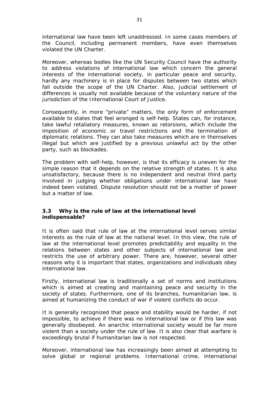international law have been left unaddressed. In some cases members of the Council, including permanent members, have even themselves violated the UN Charter.

Moreover, whereas bodies like the UN Security Council have the authority to address violations of international law which concern the general interests of the international society, in particular peace and security, hardly any machinery is in place for disputes between two states which fall outside the scope of the UN Charter. Also, judicial settlement of differences is usually not available because of the voluntary nature of the jurisdiction of the International Court of Justice.

Consequently, in more "private" matters, the only form of enforcement available to states that feel wronged is self-help. States can, for instance, take lawful retaliatory measures, known as retorsions, which include the imposition of economic or travel restrictions and the termination of diplomatic relations. They can also take measures which are in themselves illegal but which are justified by a previous unlawful act by the other party, such as blockades.

The problem with self-help, however, is that its efficacy is uneven for the simple reason that it depends on the relative strength of states. It is also unsatisfactory, because there is no independent and neutral third party involved in judging whether obligations under international law have indeed been violated. Dispute resolution should not be a matter of power but a matter of law.

## <span id="page-30-0"></span>*3.3 Why is the rule of law at the international level indispensable?*

It is often said that rule of law at the international level serves similar interests as the rule of law at the national level. In this view, the rule of law at the international level promotes predictability and equality in the relations between states and other subjects of international law and restricts the use of arbitrary power. There are, however, several other reasons why it is important that states, organizations and individuals obey international law.

Firstly, international law is traditionally a set of norms and institutions which is aimed at creating and maintaining peace and security in the society of states. Furthermore, one of its branches, humanitarian law, is aimed at humanizing the conduct of war if violent conflicts do occur.

It is generally recognized that peace and stability would be harder, if not impossible, to achieve if there was no international law or if this law was generally disobeyed. An anarchic international society would be far more violent than a society under the rule of law. It is also clear that warfare is exceedingly brutal if humanitarian law is not respected.

Moreover, international law has increasingly been aimed at attempting to solve global or regional problems. International crime, international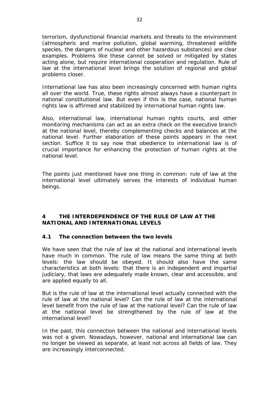terrorism, dysfunctional financial markets and threats to the environment (atmospheric and marine pollution, global warming, threatened wildlife species, the dangers of nuclear and other hazardous substances) are clear examples. Problems like these cannot be solved or mitigated by states acting alone, but require international cooperation and regulation. Rule of law at the international level brings the solution of regional and global problems closer.

International law has also been increasingly concerned with human rights all over the world. True, these rights almost always have a counterpart in national constitutional law. But even if this is the case, national human rights law is affirmed and stabilized by international human rights law.

Also, international law, international human rights courts, and other monitoring mechanisms can act as an extra check on the executive branch at the national level, thereby complementing checks and balances at the national level. Further elaboration of these points appears in the next section. Suffice it to say now that obedience to international law is of crucial importance for enhancing the protection of human rights at the national level.

The points just mentioned have one thing in common: rule of law at the international level ultimately serves the interests of individual human beings.

## <span id="page-31-0"></span>**4 THE INTERDEPENDENCE OF THE RULE OF LAW AT THE NATIONAL AND INTERNATIONAL LEVELS**

## <span id="page-31-1"></span>*4.1 The connection between the two levels*

We have seen that the rule of law at the national and international levels have much in common. The rule of law means the same thing at both levels: the law should be obeyed. It should also have the same characteristics at both levels: that there is an independent and impartial judiciary, that laws are adequately made known, clear and accessible, and are applied equally to all.

But is the rule of law at the international level actually connected with the rule of law at the national level? Can the rule of law at the international level benefit from the rule of law at the national level? Can the rule of law at the national level be strengthened by the rule of law at the international level?

In the past, this connection between the national and international levels was not a given. Nowadays, however, national and international law can no longer be viewed as separate, at least not across all fields of law. They are increasingly interconnected.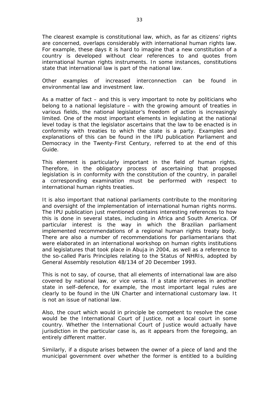The clearest example is constitutional law, which, as far as citizens' rights are concerned, overlaps considerably with international human rights law. For example, these days it is hard to imagine that a new constitution of a country is developed without clear references to and quotes from international human rights instruments. In some instances, constitutions state that international law is part of the national law.

Other examples of increased interconnection can be found in environmental law and investment law.

As a matter of fact – and this is very important to note by politicians who belong to a national legislature – with the growing amount of treaties in various fields, the national legislator's freedom of action is increasingly limited. One of the most important elements in legislating at the national level today is that the legislator ascertains that the law to be enacted is in conformity with treaties to which the state is a party. Examples and explanations of this can be found in the IPU publication *Parliament and Democracy in the Twenty-First Century*, referred to at the end of this Guide.

This element is particularly important in the field of human rights. Therefore, in the obligatory process of ascertaining that proposed legislation is in conformity with the constitution of the country, in parallel a corresponding examination must be performed with respect to international human rights treaties.

It is also important that national parliaments contribute to the monitoring and oversight of the implementation of international human rights norms. The IPU publication just mentioned contains interesting references to how this is done in several states, including in Africa and South America. Of particular interest is the way in which the Brazilian parliament implemented recommendations of a regional human rights treaty body. There are also a number of recommendations for parliamentarians that were elaborated in an international workshop on human rights institutions and legislatures that took place in Abuja in 2004, as well as a reference to the so-called Paris Principles relating to the Status of NHRIs, adopted by General Assembly resolution 48/134 of 20 December 1993.

This is not to say, of course, that all elements of international law are also covered by national law, or vice versa. If a state intervenes in another state in self-defence, for example, the most important legal rules are clearly to be found in the UN Charter and international customary law. It is not an issue of national law.

Also, the court which would in principle be competent to resolve the case would be the International Court of Justice, not a local court in some country. Whether the International Court of Justice would actually have jurisdiction in the particular case is, as it appears from the foregoing, an entirely different matter.

Similarly, if a dispute arises between the owner of a piece of land and the municipal government over whether the former is entitled to a building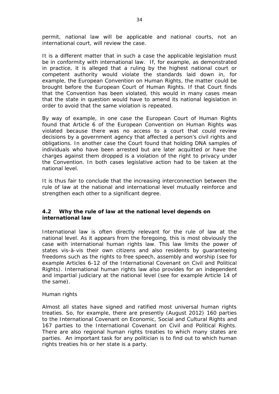permit, national law will be applicable and national courts, not an international court, will review the case.

It is a different matter that in such a case the applicable legislation must be in conformity with international law. If, for example, as demonstrated in practice, it is alleged that a ruling by the highest national court or competent authority would violate the standards laid down in, for example, the European Convention on Human Rights, the matter could be brought before the European Court of Human Rights. If that Court finds that the Convention has been violated, this would in many cases mean that the state in question would have to amend its national legislation in order to avoid that the same violation is repeated.

By way of example, in one case the European Court of Human Rights found that Article 6 of the European Convention on Human Rights was violated because there was no access to a court that could review decisions by a government agency that affected a person's civil rights and obligations. In another case the Court found that holding DNA samples of individuals who have been arrested but are later acquitted or have the charges against them dropped is a violation of the right to privacy under the Convention. In both cases legislative action had to be taken at the national level.

It is thus fair to conclude that the increasing interconnection between the rule of law at the national and international level mutually reinforce and strengthen each other to a significant degree.

## <span id="page-33-0"></span>*4.2 Why the rule of law at the national level depends on international law*

International law is often directly relevant for the rule of law at the national level. As it appears from the foregoing, this is most obviously the case with international human rights law. This law limits the power of states vis-à-vis their own citizens and also residents by guaranteeing freedoms such as the rights to free speech, assembly and worship (see for example Articles 6-12 of the International Covenant on Civil and Political Rights). International human rights law also provides for an independent and impartial judiciary at the national level (see for example Article 14 of the same).

## Human rights

Almost all states have signed and ratified most universal human rights treaties. So, for example, there are presently (August 2012) 160 parties to the International Covenant on Economic, Social and Cultural Rights and 167 parties to the International Covenant on Civil and Political Rights. There are also regional human rights treaties to which many states are parties. An important task for any politician is to find out to which human rights treaties his or her state is a party.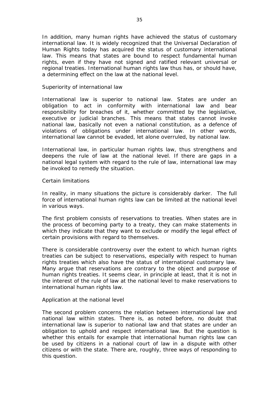In addition, many human rights have achieved the status of customary international law. It is widely recognized that the Universal Declaration of Human Rights today has acquired the status of customary international law. This means that states are bound to respect fundamental human rights, even if they have not signed and ratified relevant universal or regional treaties. International human rights law thus has, or should have, a determining effect on the law at the national level.

#### Superiority of international law

International law is superior to national law. States are under an obligation to act in conformity with international law and bear responsibility for breaches of it, whether committed by the legislative, executive or judicial branches. This means that states cannot invoke national law, basically not even a national constitution, as a defence of violations of obligations under international law. In other words, international law cannot be evaded, let alone overruled, by national law.

International law, in particular human rights law, thus strengthens and deepens the rule of law at the national level. If there are gaps in a national legal system with regard to the rule of law, international law may be invoked to remedy the situation.

#### Certain limitations

In reality, in many situations the picture is considerably darker. The full force of international human rights law can be limited at the national level in various ways.

The first problem consists of reservations to treaties. When states are in the process of becoming party to a treaty, they can make statements in which they indicate that they want to exclude or modify the legal effect of certain provisions with regard to themselves.

There is considerable controversy over the extent to which human rights treaties can be subject to reservations, especially with respect to human rights treaties which also have the status of international customary law. Many argue that reservations are contrary to the object and purpose of human rights treaties. It seems clear, in principle at least, that it is *not* in the interest of the rule of law at the national level to make reservations to international human rights law.

#### Application at the national level

The second problem concerns the relation between international law and national law within states. There is, as noted before, no doubt that international law is superior to national law and that states are under an obligation to uphold and respect international law. But the question is whether this entails for example that international human rights law can be used by citizens in a national court of law in a dispute with other citizens or with the state. There are, roughly, three ways of responding to this question.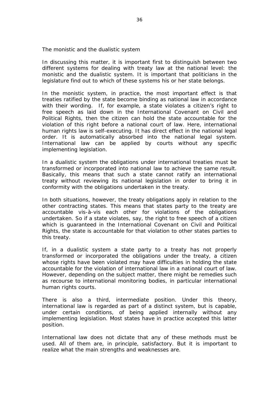The monistic and the dualistic system

In discussing this matter, it is important first to distinguish between two different systems for dealing with treaty law at the national level: the monistic and the dualistic system. It is important that politicians in the legislature find out to which of these systems his or her state belongs.

In the monistic system, in practice, the most important effect is that treaties ratified by the state become binding as national law in accordance with their wording. If, for example, a state violates a citizen's right to free speech as laid down in the International Covenant on Civil and Political Rights, then the citizen can hold the state accountable for the violation of this right before a national court of law. Here, international human rights law is self-executing. It has direct effect in the national legal order. It is automatically absorbed into the national legal system. International law can be applied by courts without any specific implementing legislation.

In a dualistic system the obligations under international treaties must be transformed or incorporated into national law to achieve the same result. Basically, this means that such a state cannot ratify an international treaty without reviewing its national legislation in order to bring it in conformity with the obligations undertaken in the treaty.

In both situations, however, the treaty obligations apply in relation to the other contracting states. This means that states party to the treaty are accountable vis-à-vis each other for violations of the obligations undertaken. So if a state violates, say, the right to free speech of a citizen which is guaranteed in the International Covenant on Civil and Political Rights, the state is accountable for that violation to other states parties to this treaty.

If, in a dualistic system a state party to a treaty has not properly transformed or incorporated the obligations under the treaty, a citizen whose rights have been violated may have difficulties in holding the state accountable for the violation of international law in a national court of law. However, depending on the subject matter, there might be remedies such as recourse to international monitoring bodies, in particular international human rights courts.

There is also a third, intermediate position. Under this theory, international law is regarded as part of a distinct system, but is capable, under certain conditions, of being applied internally without any implementing legislation. Most states have in practice accepted this latter position.

International law does not dictate that any of these methods must be used. All of them are, in principle, satisfactory. But it is important to realize what the main strengths and weaknesses are.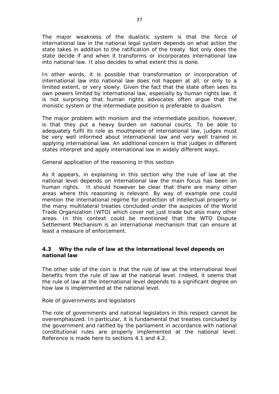The major weakness of the dualistic system is that the force of international law in the national legal system depends on what action the state takes in addition to the ratification of the treaty. Not only does the state decide if and when it transforms or incorporates international law into national law. It also decides to what extent this is done.

In other words, it is possible that transformation or incorporation of international law into national law does not happen at all, or only to a limited extent, or very slowly. Given the fact that the state often sees its own powers limited by international law, especially by human rights law, it is not surprising that human rights advocates often argue that the monistic system or the intermediate position is preferable to dualism.

The major problem with monism and the intermediate position, however, is that they put a heavy burden on national courts. To be able to adequately fulfil its role as mouthpiece of international law, judges must be very well informed about international law and very well trained in applying international law. An additional concern is that judges in different states interpret and apply international law in widely different ways.

General application of the reasoning in this section

As it appears, in explaining in this section why the rule of law at the national level depends on international law the main focus has been on human rights. It should however be clear that there are many other areas where this reasoning is relevant. By way of example one could mention the international regime for protection of intellectual property or the many multilateral treaties concluded under the auspices of the World Trade Organization (WTO) which cover not just trade but also many other areas. In this context could be mentioned that the WTO Dispute Settlement Mechanism is an international mechanism that can ensure at least a measure of enforcement.

## <span id="page-36-0"></span>*4.3 Why the rule of law at the international level depends on national law*

The other side of the coin is that the rule of law at the international level benefits from the rule of law at the national level. Indeed, it seems that the rule of law at the international level depends to a significant degree on how law is implemented at the national level.

Role of governments and legislators

The role of governments and national legislators in this respect cannot be overemphasized. In particular, it is fundamental that treaties concluded by the government and ratified by the parliament in accordance with national constitutional rules are properly implemented at the national level. Reference is made here to sections 4.1 and 4.2.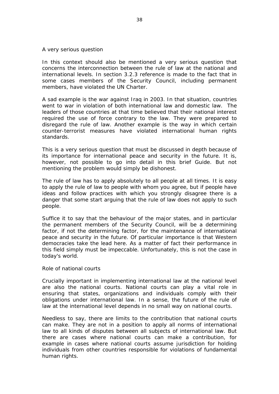#### A very serious question

In this context should also be mentioned a very serious question that concerns the interconnection between the rule of law at the national and international levels. In section 3.2.3 reference is made to the fact that in some cases members of the Security Council, including permanent members, have violated the UN Charter.

A sad example is the war against Iraq in 2003. In that situation, countries went to war in violation of both international law and domestic law. The leaders of those countries at that time believed that their national interest required the use of force contrary to the law. They were prepared to disregard the rule of law. Another example is the way in which certain counter-terrorist measures have violated international human rights standards.

This is a very serious question that must be discussed in depth because of its importance for international peace and security in the future. It is, however, not possible to go into detail in this brief Guide. But not mentioning the problem would simply be dishonest.

The rule of law has to apply absolutely to all people at all times. It is easy to apply the rule of law to people with whom you agree, but if people have ideas and follow practices with which you strongly disagree there is a danger that some start arguing that the rule of law does not apply to such people.

Suffice it to say that the behaviour of the major states, and in particular the permanent members of the Security Council, will be a determining factor, if not the determining factor, for the maintenance of international peace and security in the future. Of particular importance is that Western democracies take the lead here. As a matter of fact their performance in this field simply must be impeccable. Unfortunately, this is not the case in today's world.

#### Role of national courts

Crucially important in implementing international law at the national level are also the national courts. National courts can play a vital role in ensuring that states, organizations and individuals comply with their obligations under international law. In a sense, the future of the rule of law at the international level depends in no small way on national courts.

Needless to say, there are limits to the contribution that national courts can make. They are *not* in a position to apply *all* norms of international law to *all* kinds of disputes between *all* subjects of international law. But there are cases where national courts can make a contribution, for example in cases where national courts assume jurisdiction for holding individuals from other countries responsible for violations of fundamental human rights.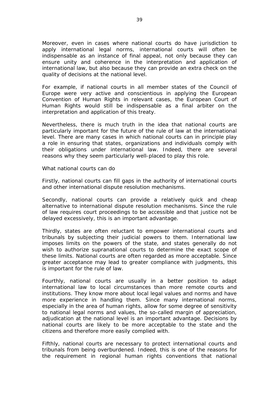Moreover, even in cases where national courts do have jurisdiction to apply international legal norms, international courts will often be indispensable as an instance of final appeal, not only because they can ensure unity and coherence in the interpretation and application of international law, but also because they can provide an extra check on the quality of decisions at the national level.

For example, if national courts in all member states of the Council of Europe were very active and conscientious in applying the European Convention of Human Rights in relevant cases, the European Court of Human Rights would still be indispensable as a final arbiter on the interpretation and application of this treaty.

Nevertheless, there is much truth in the idea that national courts are particularly important for the future of the rule of law at the international level. There are many cases in which national courts can in principle play a role in ensuring that states, organizations and individuals comply with their obligations under international law. Indeed, there are several reasons why they seem particularly well-placed to play this role.

What national courts can do

Firstly, national courts can fill gaps in the authority of international courts and other international dispute resolution mechanisms.

Secondly, national courts can provide a relatively quick and cheap alternative to international dispute resolution mechanisms. Since the rule of law requires court proceedings to be accessible and that justice not be delayed excessively, this is an important advantage.

Thirdly, states are often reluctant to empower international courts and tribunals by subjecting their judicial powers to them. International law imposes limits on the powers of the state, and states generally do not wish to authorize supranational courts to determine the exact scope of these limits. National courts are often regarded as more acceptable. Since greater acceptance may lead to greater compliance with judgments, this is important for the rule of law.

Fourthly, national courts are usually in a better position to adapt international law to local circumstances than more remote courts and institutions. They know more about local legal values and norms and have more experience in handling them. Since many international norms, especially in the area of human rights, allow for some degree of sensitivity to national legal norms and values, the so-called margin of appreciation, adjudication at the national level is an important advantage. Decisions by national courts are likely to be more acceptable to the state and the citizens and therefore more easily complied with.

Fifthly, national courts are necessary to protect international courts and tribunals from being overburdened. Indeed, this is one of the reasons for the requirement in regional human rights conventions that national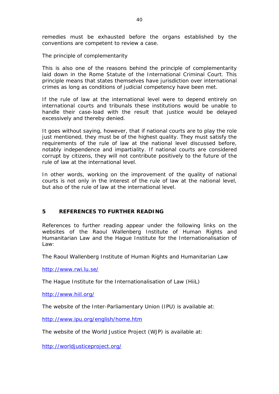remedies must be exhausted before the organs established by the conventions are competent to review a case.

The principle of complementarity

This is also one of the reasons behind the principle of complementarity laid down in the Rome Statute of the International Criminal Court. This principle means that states themselves have jurisdiction over international crimes as long as conditions of judicial competency have been met.

If the rule of law at the international level were to depend entirely on international courts and tribunals these institutions would be unable to handle their case-load with the result that justice would be delayed excessively and thereby denied.

It goes without saying, however, that if national courts are to play the role just mentioned, they must be of the highest quality. They must satisfy the requirements of the rule of law at the national level discussed before, notably independence and impartiality. If national courts are considered corrupt by citizens, they will not contribute positively to the future of the rule of law at the international level.

In other words, working on the improvement of the quality of national courts is not only in the interest of the rule of law at the national level, but also of the rule of law at the international level.

## <span id="page-39-0"></span>**5 REFERENCES TO FURTHER READING**

References to further reading appear under the following links on the websites of the Raoul Wallenberg Institute of Human Rights and Humanitarian Law and the Hague Institute for the Internationalisation of Law:

The Raoul Wallenberg Institute of Human Rights and Humanitarian Law

<http://www.rwi.lu.se/>

The Hague Institute for the Internationalisation of Law (HiiL)

<http://www.hiil.org/>

The website of the Inter-Parliamentary Union (IPU) is available at:

<http://www.ipu.org/english/home.htm>

The website of the World Justice Project (WJP) is available at:

<http://worldjusticeproject.org/>